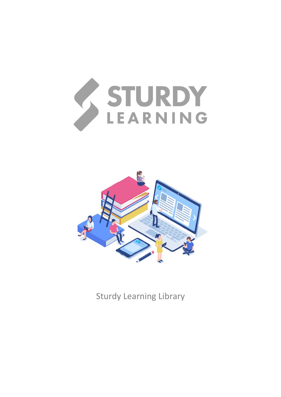



Sturdy Learning Library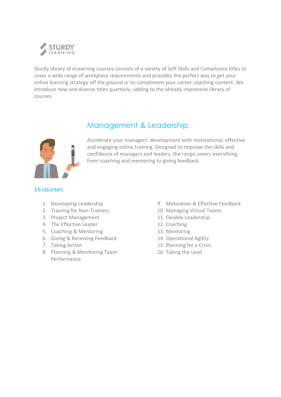

Sturdy library of eLearning courses consists of a variety of Soft Skills and Compliance titles to cover a wide range of workplace requirements and provides the perfect way to get your online learning strategy off the ground or to compliment your career coaching content. We introduce new and diverse titles quarterly, adding to the already impressive library of courses.



### Management & Leadership

Accelerate your managers' development with motivational, effective and engaging online training. Designed to improve the skills and confidence of managers and leaders, the range covers everything from coaching and mentoring to giving feedback.

- 1. Developing Leadership
- 2. Training for Non-Trainers
- 3. Project Management
- 4. The Effective Leader
- 5. Coaching & Mentoring
- 6. Giving & Receiving Feedback
- 7. Taking Action
- 8. Planning & Monitoring Team Performance
- 9. Motivation & Effective Feedback
- 10. Managing Virtual Teams
- 11. Flexible Leadership
- 12. Coaching
- 13. Mentoring
- 14. Operational Agility
- 15. Planning for a Crisis
- 16. Taking the Lead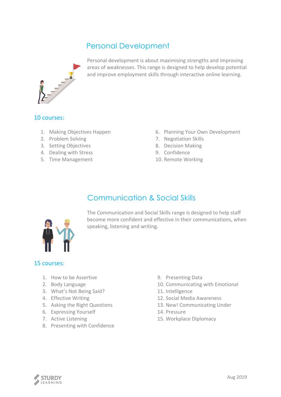# Personal Development



Personal development is about maximising strengths and improving areas of weaknesses. This range is designed to help develop potential and improve employment skills through interactive online learning.

#### 10 courses:

- 1. Making Objectives Happen
- 2. Problem Solving
- 3. Setting Objectives
- 4. Dealing with Stress
- 5. Time Management
- 6. Planning Your Own Development
- 7. Negotiation Skills
- 8. Decision Making
- 9. Confidence
- 10. Remote Working

# Communication & Social Skills



The Communication and Social Skills range is designed to help staff become more confident and effective in their communications, when speaking, listening and writing.

- 1. How to be Assertive
- 2. Body Language
- 3. What's Not Being Said?
- 4. Effective Writing
- 5. Asking the Right Questions
- 6. Expressing Yourself
- 7. Active Listening
- 8. Presenting with Confidence
- 9. Presenting Data
- 10. Communicating with Emotional
- 11. Intelligence
- 12. Social Media Awareness
- 13. New! Communicating Under
- 14. Pressure
- 15. Workplace Diplomacy

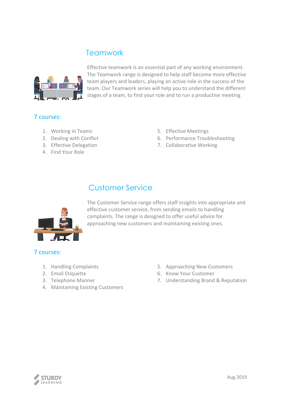### **Teamwork**



Effective teamwork is an essential part of any working environment. The Teamwork range is designed to help staff become more effective team players and leaders, playing an active role in the success of the team. Our Teamwork series will help you to understand the different stages of a team, to find your role and to run a productive meeting

#### 7 courses:

- 1. Working in Teams
- 2. Dealing with Conflict
- 3. Effective Delegation
- 4. Find Your Role
- 5. Effective Meetings
- 6. Performance Troubleshooting
- 7. Collaborative Working

## Customer Service



The Customer Service range offers staff insights into appropriate and effective customer service, from sending emails to handling complaints. The range is designed to offer useful advice for approaching new customers and maintaining existing ones.

- 1. Handling Complaints
- 2. Email Etiquette
- 3. Telephone Manner
- 4. Maintaining Existing Customers
- 5. Approaching New Customers
- 6. Know Your Customer
- 7. Understanding Brand & Reputation

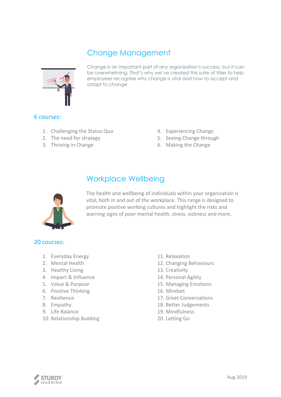### Change Management



Change is an important part of any organisation's success, but it can be overwhelming. That's why we've created this suite of titles to help employees recognise why change is vital and how to accept and adapt to change.

#### 6 courses:

- 1. Challenging the Status Quo
- 2. The need for strategy
- 3. Thriving in Change
- 4. Experiencing Change
- 5. Seeing Change through
- 6. Making the Change

### Workplace Wellbeing



The health and wellbeing of individuals within your organisation is vital, both in and out of the workplace. This range is designed to promote positive working cultures and highlight the risks and warning signs of poor mental health, stress, sickness and more.

- 1. Everyday Energy
- 2. Mental Health
- 3. Healthy Living
- 4. Impact & Influence
- 5. Value & Purpose
- 6. Positive Thinking
- 7. Resilience
- 8. Empathy
- 9. Life Balance
- 10. Relationship Building
- 11. Relaxation
- 12. Changing Behaviours
- 13. Creativity
- 14. Personal Agility
- 15. Managing Emotions
- 16. Mindset
- 17. Great Conversations
- 18. Better Judgements
- 19. Mindfulness
- 20. Letting Go

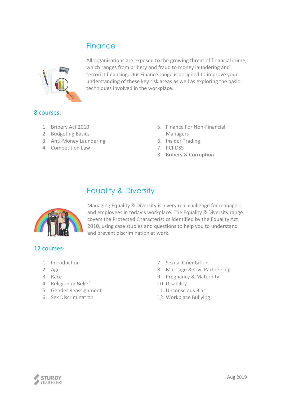## **Finance**



All organisations are exposed to the growing threat of financial crime, which ranges from bribery and fraud to money laundering and terrorist financing. Our Finance range is designed to improve your understanding of these key risk areas as well as exploring the basic techniques involved in the workplace.

### 8 courses:

- 1. Bribery Act 2010
- 2. Budgeting Basics
- 3. Anti-Money Laundering
- 4. Competition Law
- 5. Finance For Non-Financial Managers
- 6. Insider Trading
- 7. PCI-DSS
- 8. Bribery & Corruption

# Equality & Diversity



Managing Equality & Diversity is a very real challenge for managers and employees in today's workplace. The Equality & Diversity range covers the Protected Characteristics identified by the Equality Act 2010, using case studies and questions to help you to understand and prevent discrimination at work.

- 1. Introduction
- 2. Age
- 3. Race
- 4. Religion or Belief
- 5. Gender Reassignment
- 6. Sex Discrimination
- 7. Sexual Orientation
- 8. Marriage & Civil Partnership
- 9. Pregnancy & Maternity
- 10. Disability
- 11. Unconscious Bias
- 12. Workplace Bullying

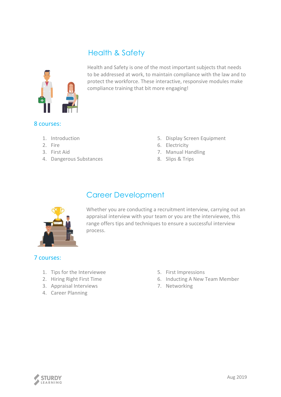# Health & Safety



Health and Safety is one of the most important subjects that needs to be addressed at work, to maintain compliance with the law and to protect the workforce. These interactive, responsive modules make compliance training that bit more engaging!

#### 8 courses:

- 1. Introduction
- 2. Fire
- 3. First Aid
- 4. Dangerous Substances
- 5. Display Screen Equipment
- 6. Electricity
- 7. Manual Handling
- 8. Slips & Trips

# Career Development



Whether you are conducting a recruitment interview, carrying out an appraisal interview with your team or you are the interviewee, this range offers tips and techniques to ensure a successful interview process.

- 1. Tips for the Interviewee
- 2. Hiring Right First Time
- 3. Appraisal Interviews
- 4. Career Planning
- 5. First Impressions
- 6. Inducting A New Team Member
- 7. Networking

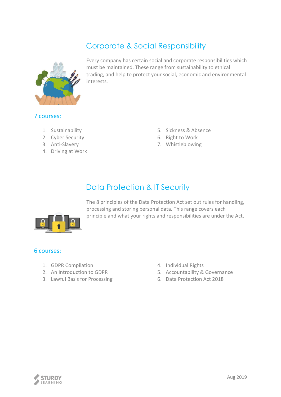# Corporate & Social Responsibility



Every company has certain social and corporate responsibilities which must be maintained. These range from sustainability to ethical trading, and help to protect your social, economic and environmental interests.

### 7 courses:

- 1. Sustainability
- 2. Cyber Security
- 3. Anti-Slavery
- 4. Driving at Work
- 5. Sickness & Absence
- 6. Right to Work
- 7. Whistleblowing

# Data Protection & IT Security



The 8 principles of the Data Protection Act set out rules for handling, processing and storing personal data. This range covers each principle and what your rights and responsibilities are under the Act.

- 1. GDPR Compilation
- 2. An Introduction to GDPR
- 3. Lawful Basis for Processing
- 4. Individual Rights
- 5. Accountability & Governance
- 6. Data Protection Act 2018

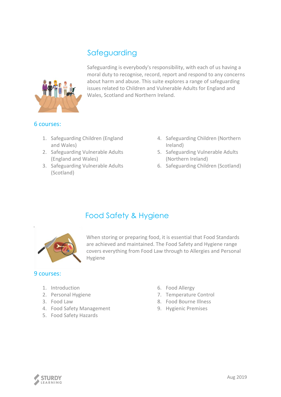# Safeguarding



Safeguarding is everybody's responsibility, with each of us having a moral duty to recognise, record, report and respond to any concerns about harm and abuse. This suite explores a range of safeguarding issues related to Children and Vulnerable Adults for England and Wales, Scotland and Northern Ireland.

#### 6 courses:

- 1. Safeguarding Children (England and Wales)
- 2. Safeguarding Vulnerable Adults (England and Wales)
- 3. Safeguarding Vulnerable Adults (Scotland)
- 4. Safeguarding Children (Northern Ireland)
- 5. Safeguarding Vulnerable Adults (Northern Ireland)
- 6. Safeguarding Children (Scotland)



## Food Safety & Hygiene

When storing or preparing food, it is essential that Food Standards are achieved and maintained. The Food Safety and Hygiene range covers everything from Food Law through to Allergies and Personal Hygiene

- 1. Introduction
- 2. Personal Hygiene
- 3. Food Law
- 4. Food Safety Management
- 5. Food Safety Hazards
- 6. Food Allergy
- 7. Temperature Control
- 8. Food Bourne Illness
- 9. Hygienic Premises